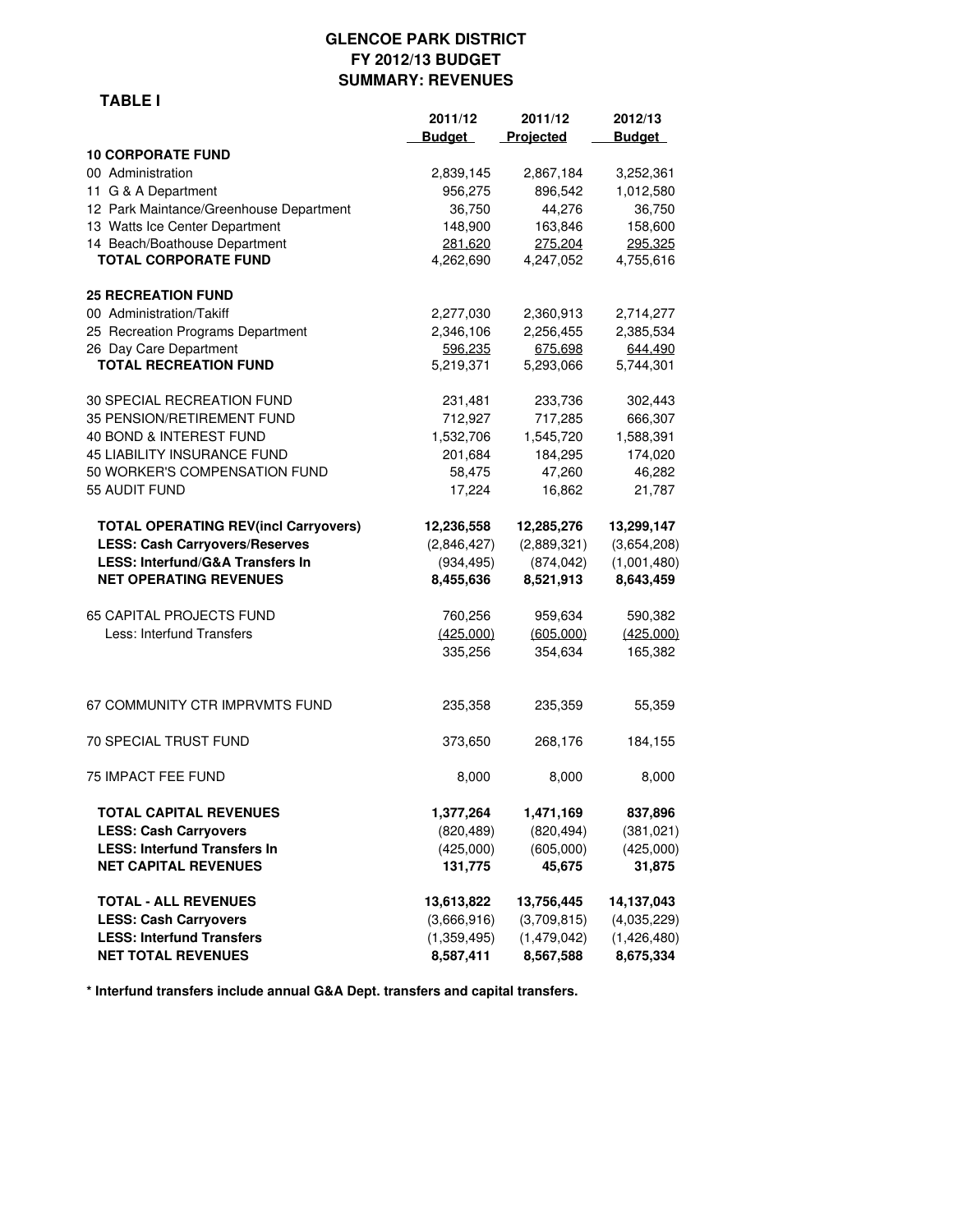#### **GLENCOE PARK DISTRICT FY 2012/13 BUDGET SUMMARY: REVENUES**

|                                             | 2011/12       | 2011/12     | 2012/13       |
|---------------------------------------------|---------------|-------------|---------------|
|                                             | <b>Budget</b> | Projected   | <b>Budget</b> |
| <b>10 CORPORATE FUND</b>                    |               |             |               |
| 00 Administration                           | 2,839,145     | 2,867,184   | 3,252,361     |
| 11 G & A Department                         | 956,275       | 896,542     | 1,012,580     |
| 12 Park Maintance/Greenhouse Department     | 36,750        | 44,276      | 36,750        |
| 13 Watts Ice Center Department              | 148,900       | 163,846     | 158,600       |
| 14 Beach/Boathouse Department               | 281,620       | 275,204     | 295,325       |
| <b>TOTAL CORPORATE FUND</b>                 | 4,262,690     | 4,247,052   | 4,755,616     |
| <b>25 RECREATION FUND</b>                   |               |             |               |
| 00 Administration/Takiff                    | 2,277,030     | 2,360,913   | 2,714,277     |
| 25 Recreation Programs Department           | 2,346,106     | 2,256,455   | 2,385,534     |
| 26 Day Care Department                      | 596.235       | 675.698     | 644,490       |
| <b>TOTAL RECREATION FUND</b>                | 5,219,371     | 5,293,066   | 5,744,301     |
| 30 SPECIAL RECREATION FUND                  | 231,481       | 233,736     | 302,443       |
| 35 PENSION/RETIREMENT FUND                  | 712,927       | 717,285     | 666,307       |
| 40 BOND & INTEREST FUND                     | 1,532,706     | 1,545,720   | 1,588,391     |
| 45 LIABILITY INSURANCE FUND                 | 201,684       | 184,295     | 174,020       |
| 50 WORKER'S COMPENSATION FUND               | 58,475        | 47,260      | 46,282        |
| 55 AUDIT FUND                               | 17,224        | 16,862      | 21,787        |
| <b>TOTAL OPERATING REV(incl Carryovers)</b> | 12,236,558    | 12,285,276  | 13,299,147    |
| <b>LESS: Cash Carryovers/Reserves</b>       | (2,846,427)   | (2,889,321) | (3,654,208)   |
| LESS: Interfund/G&A Transfers In            | (934, 495)    | (874, 042)  | (1,001,480)   |
| <b>NET OPERATING REVENUES</b>               | 8,455,636     | 8,521,913   | 8,643,459     |
| 65 CAPITAL PROJECTS FUND                    | 760,256       | 959,634     | 590,382       |
| Less: Interfund Transfers                   | (425,000)     | (605,000)   | (425,000)     |
|                                             | 335,256       | 354,634     | 165,382       |
| 67 COMMUNITY CTR IMPRVMTS FUND              | 235,358       | 235,359     | 55,359        |
| 70 SPECIAL TRUST FUND                       | 373,650       | 268,176     | 184,155       |
| 75 IMPACT FEE FUND                          | 8,000         | 8,000       | 8,000         |
| TOTAL CAPITAL REVENUES                      | 1,377,264     | 1,471,169   | 837,896       |
| <b>LESS: Cash Carryovers</b>                | (820, 489)    | (820, 494)  | (381, 021)    |
| <b>LESS: Interfund Transfers In</b>         | (425,000)     | (605,000)   | (425,000)     |
| <b>NET CAPITAL REVENUES</b>                 | 131,775       | 45,675      | 31,875        |
| <b>TOTAL - ALL REVENUES</b>                 | 13,613,822    | 13,756,445  | 14,137,043    |
| <b>LESS: Cash Carryovers</b>                | (3,666,916)   | (3,709,815) | (4,035,229)   |
| <b>LESS: Interfund Transfers</b>            | (1,359,495)   | (1,479,042) | (1,426,480)   |
| <b>NET TOTAL REVENUES</b>                   | 8,587,411     | 8,567,588   | 8,675,334     |

**\* Interfund transfers include annual G&A Dept. transfers and capital transfers.**

#### **TABLE I**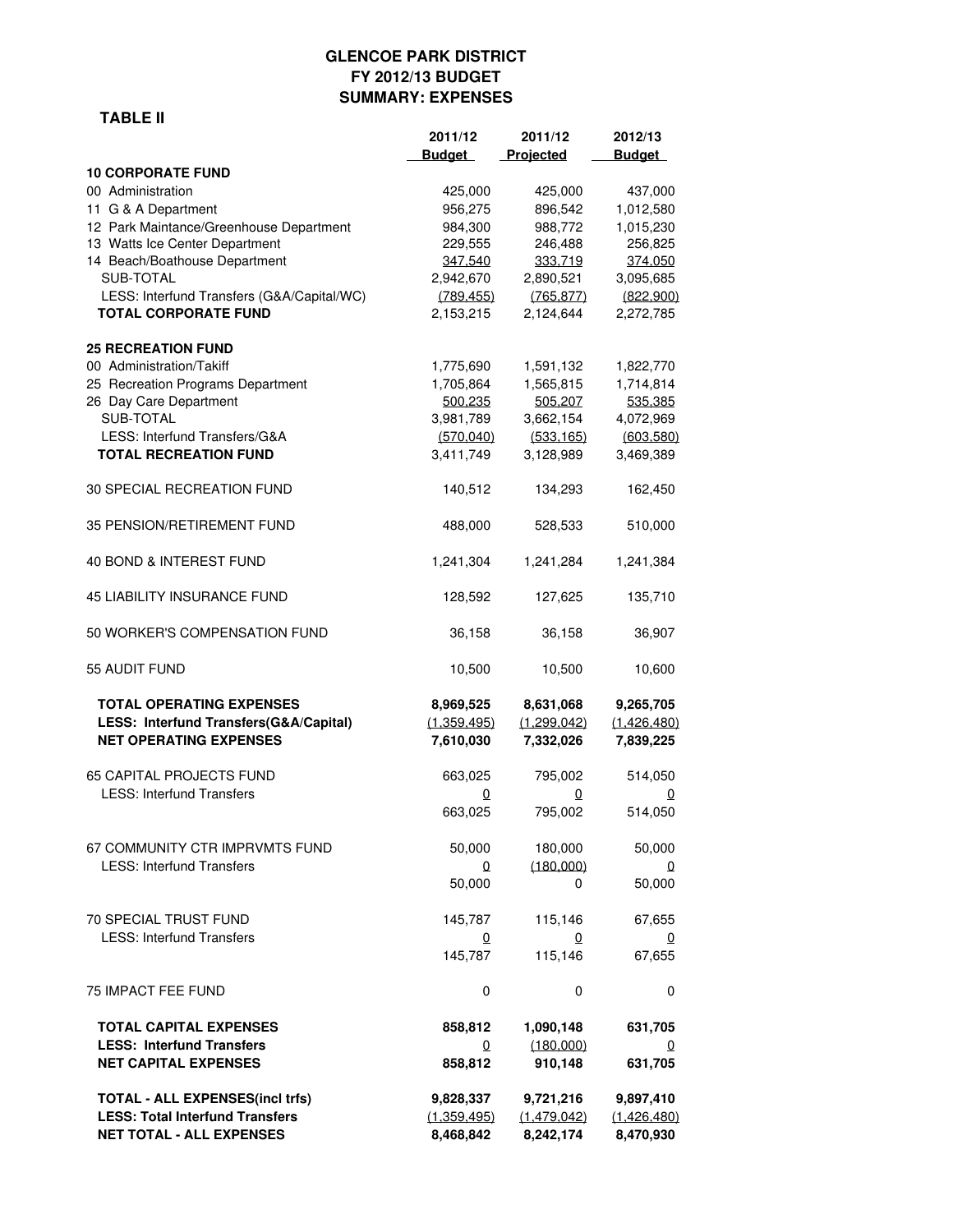## **GLENCOE PARK DISTRICT FY 2012/13 BUDGET SUMMARY: EXPENSES**

### **TABLE II**

|                                            | 2011/12       | 2011/12     | 2012/13       |
|--------------------------------------------|---------------|-------------|---------------|
|                                            | <b>Budget</b> | Projected   | <b>Budget</b> |
| <b>10 CORPORATE FUND</b>                   |               |             |               |
| 00 Administration                          | 425,000       | 425,000     | 437,000       |
| 11 G & A Department                        | 956,275       | 896,542     | 1,012,580     |
|                                            | 984,300       |             |               |
| 12 Park Maintance/Greenhouse Department    |               | 988,772     | 1,015,230     |
| 13 Watts Ice Center Department             | 229,555       | 246,488     | 256,825       |
| 14 Beach/Boathouse Department              | 347,540       | 333,719     | 374,050       |
| SUB-TOTAL                                  | 2,942,670     | 2,890,521   | 3,095,685     |
| LESS: Interfund Transfers (G&A/Capital/WC) | (789, 455)    | (765, 877)  | (822,900)     |
| <b>TOTAL CORPORATE FUND</b>                | 2,153,215     | 2,124,644   | 2,272,785     |
| <b>25 RECREATION FUND</b>                  |               |             |               |
| 00 Administration/Takiff                   | 1,775,690     | 1,591,132   | 1,822,770     |
| 25 Recreation Programs Department          | 1,705,864     | 1,565,815   | 1,714,814     |
| 26 Day Care Department                     | 500.235       | 505.207     | 535.385       |
| SUB-TOTAL                                  | 3,981,789     | 3,662,154   | 4,072,969     |
| LESS: Interfund Transfers/G&A              |               | (533, 165)  | (603, 580)    |
|                                            | (570, 040)    |             |               |
| <b>TOTAL RECREATION FUND</b>               | 3,411,749     | 3,128,989   | 3,469,389     |
| 30 SPECIAL RECREATION FUND                 | 140,512       | 134,293     | 162,450       |
| 35 PENSION/RETIREMENT FUND                 | 488,000       | 528,533     | 510,000       |
| 40 BOND & INTEREST FUND                    | 1,241,304     | 1,241,284   | 1,241,384     |
| 45 LIABILITY INSURANCE FUND                | 128,592       | 127,625     | 135,710       |
| 50 WORKER'S COMPENSATION FUND              | 36,158        | 36,158      | 36,907        |
| 55 AUDIT FUND                              | 10,500        | 10,500      | 10,600        |
| <b>TOTAL OPERATING EXPENSES</b>            |               |             |               |
|                                            | 8,969,525     | 8,631,068   | 9,265,705     |
| LESS: Interfund Transfers(G&A/Capital)     | (1,359,495)   | (1,299,042) | (1,426,480)   |
| <b>NET OPERATING EXPENSES</b>              | 7,610,030     | 7,332,026   | 7,839,225     |
| <b>65 CAPITAL PROJECTS FUND</b>            | 663,025       | 795,002     | 514,050       |
| <b>LESS: Interfund Transfers</b>           | 0             | 0           | 0             |
|                                            | 663,025       | 795,002     | 514,050       |
|                                            |               |             |               |
| 67 COMMUNITY CTR IMPRVMTS FUND             | 50,000        | 180,000     | 50,000        |
| <b>LESS: Interfund Transfers</b>           |               |             |               |
|                                            | 0             | (180,000)   | $\Omega$      |
|                                            | 50,000        | 0           | 50,000        |
| 70 SPECIAL TRUST FUND                      | 145,787       | 115,146     | 67,655        |
| <b>LESS: Interfund Transfers</b>           | 0             | 0           | $\Omega$      |
|                                            | 145,787       | 115,146     | 67,655        |
|                                            |               |             |               |
| 75 IMPACT FEE FUND                         | 0             | 0           | 0             |
| <b>TOTAL CAPITAL EXPENSES</b>              | 858,812       | 1,090,148   | 631,705       |
| <b>LESS: Interfund Transfers</b>           | 0             | (180,000)   | 0             |
| <b>NET CAPITAL EXPENSES</b>                | 858,812       | 910,148     | 631,705       |
| <b>TOTAL - ALL EXPENSES(incl trfs)</b>     | 9,828,337     | 9,721,216   | 9,897,410     |
|                                            |               |             |               |
| <b>LESS: Total Interfund Transfers</b>     | (1,359,495)   | (1,479,042) | (1.426.480)   |
| <b>NET TOTAL - ALL EXPENSES</b>            | 8,468,842     | 8,242,174   | 8,470,930     |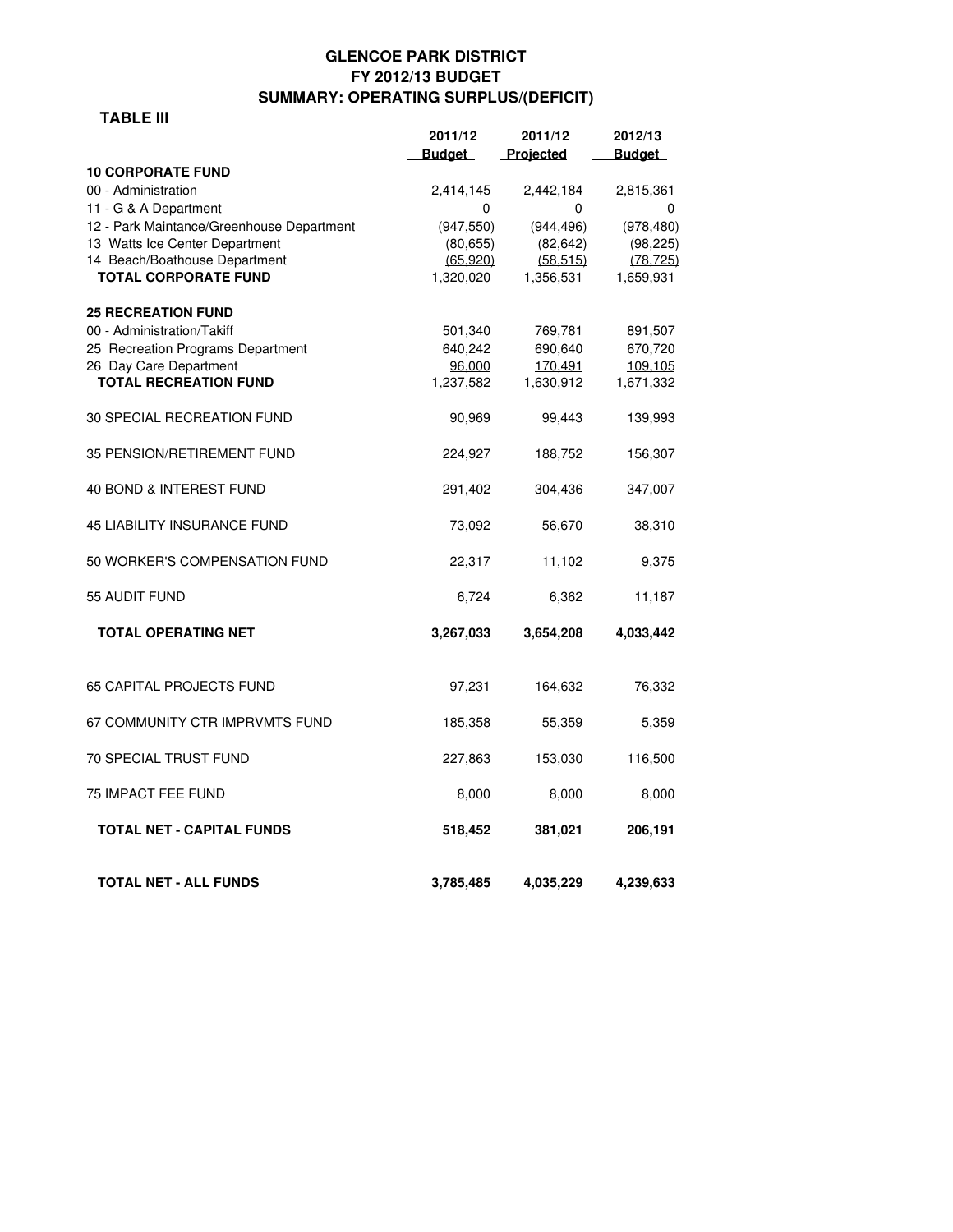## **GLENCOE PARK DISTRICT FY 2012/13 BUDGET SUMMARY: OPERATING SURPLUS/(DEFICIT)**

#### **TABLE III**

|                                                                    | 2011/12        | 2011/12        | 2012/13         |
|--------------------------------------------------------------------|----------------|----------------|-----------------|
|                                                                    | <b>Budget</b>  | Projected      | <b>Budget</b>   |
| <b>10 CORPORATE FUND</b>                                           |                |                |                 |
| 00 - Administration                                                | 2,414,145<br>0 | 2,442,184<br>0 | 2,815,361       |
| 11 - G & A Department<br>12 - Park Maintance/Greenhouse Department | (947, 550)     | (944, 496)     | 0<br>(978, 480) |
| 13 Watts Ice Center Department                                     | (80, 655)      | (82, 642)      | (98, 225)       |
| 14 Beach/Boathouse Department                                      | (65, 920)      | (58.515)       | (78, 725)       |
| <b>TOTAL CORPORATE FUND</b>                                        | 1,320,020      | 1,356,531      | 1,659,931       |
| <b>25 RECREATION FUND</b>                                          |                |                |                 |
| 00 - Administration/Takiff                                         | 501,340        | 769,781        | 891,507         |
| 25 Recreation Programs Department                                  | 640,242        | 690,640        | 670,720         |
| 26 Day Care Department                                             | 96.000         | 170.491        | 109.105         |
| <b>TOTAL RECREATION FUND</b>                                       | 1,237,582      | 1,630,912      | 1,671,332       |
| 30 SPECIAL RECREATION FUND                                         | 90,969         | 99,443         | 139,993         |
| 35 PENSION/RETIREMENT FUND                                         | 224,927        | 188,752        | 156,307         |
| 40 BOND & INTEREST FUND                                            | 291,402        | 304,436        | 347,007         |
| <b>45 LIABILITY INSURANCE FUND</b>                                 | 73,092         | 56,670         | 38,310          |
| 50 WORKER'S COMPENSATION FUND                                      | 22,317         | 11,102         | 9,375           |
| 55 AUDIT FUND                                                      | 6,724          | 6,362          | 11,187          |
| <b>TOTAL OPERATING NET</b>                                         | 3,267,033      | 3,654,208      | 4,033,442       |
| 65 CAPITAL PROJECTS FUND                                           | 97,231         | 164,632        | 76,332          |
| 67 COMMUNITY CTR IMPRVMTS FUND                                     | 185,358        | 55,359         | 5,359           |
| <b>70 SPECIAL TRUST FUND</b>                                       | 227,863        | 153,030        | 116,500         |
| <b>75 IMPACT FEE FUND</b>                                          | 8,000          | 8,000          | 8,000           |
| <b>TOTAL NET - CAPITAL FUNDS</b>                                   | 518,452        | 381,021        | 206,191         |
| <b>TOTAL NET - ALL FUNDS</b>                                       | 3,785,485      | 4,035,229      | 4,239,633       |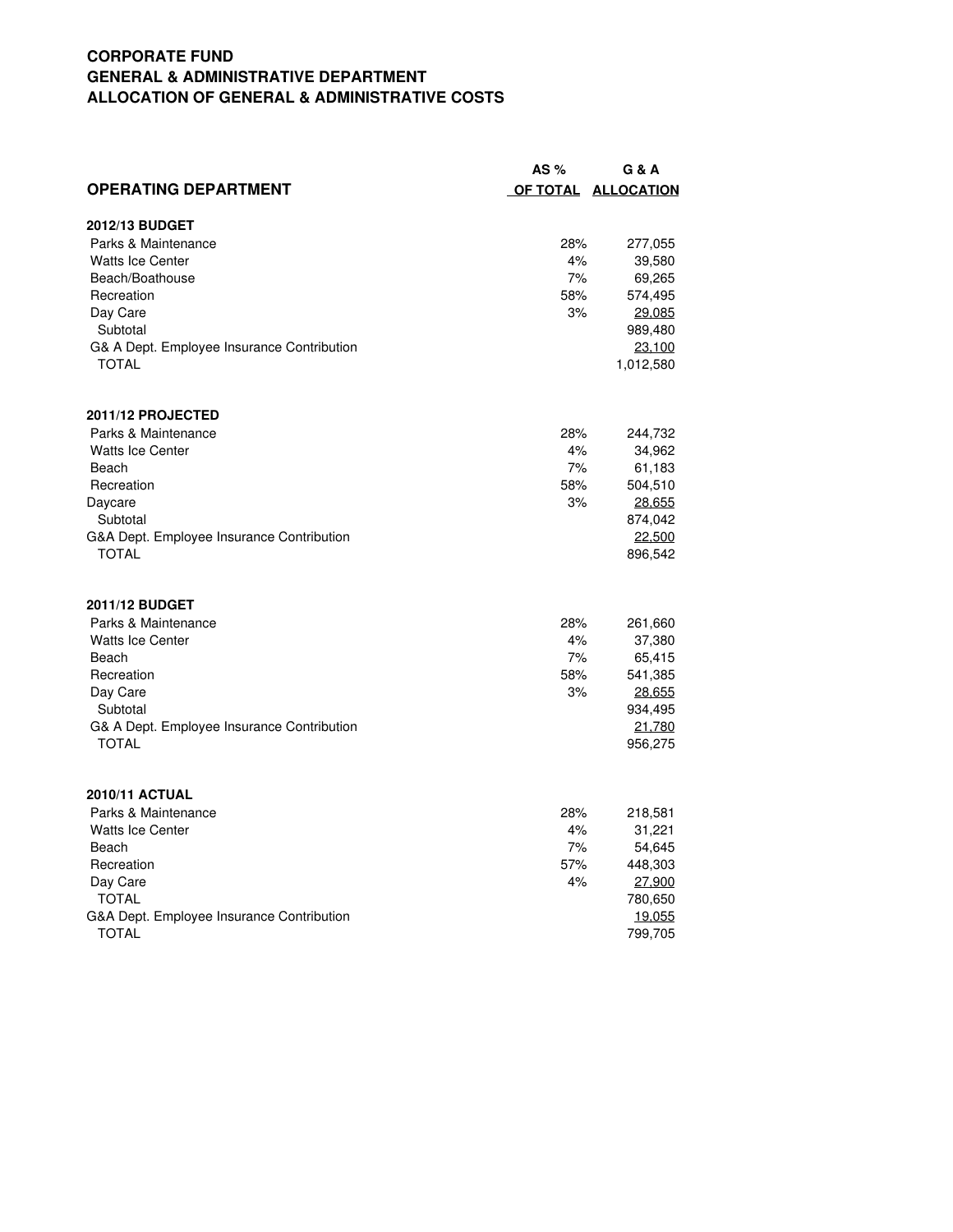## **CORPORATE FUND GENERAL & ADMINISTRATIVE DEPARTMENT ALLOCATION OF GENERAL & ADMINISTRATIVE COSTS**

|                                            | AS $%$ | G & A               |
|--------------------------------------------|--------|---------------------|
| <b>OPERATING DEPARTMENT</b>                |        | OF TOTAL ALLOCATION |
| 2012/13 BUDGET                             |        |                     |
| Parks & Maintenance                        | 28%    | 277,055             |
| <b>Watts Ice Center</b>                    | 4%     | 39,580              |
| Beach/Boathouse                            | 7%     | 69,265              |
| Recreation                                 | 58%    | 574,495             |
| Day Care                                   | 3%     | 29,085              |
| Subtotal                                   |        | 989,480             |
| G& A Dept. Employee Insurance Contribution |        | 23.100              |
| <b>TOTAL</b>                               |        | 1,012,580           |
| 2011/12 PROJECTED                          |        |                     |
| Parks & Maintenance                        | 28%    | 244,732             |
| <b>Watts Ice Center</b>                    | 4%     | 34,962              |
| Beach                                      | 7%     | 61,183              |
| Recreation                                 | 58%    | 504,510             |
| Daycare                                    | 3%     | 28,655              |
| Subtotal                                   |        | 874,042             |
| G&A Dept. Employee Insurance Contribution  |        | 22,500              |
| TOTAL                                      |        | 896,542             |
| 2011/12 BUDGET                             |        |                     |
| Parks & Maintenance                        | 28%    | 261,660             |
| <b>Watts Ice Center</b>                    | 4%     | 37,380              |
| Beach                                      | 7%     | 65,415              |
| Recreation                                 | 58%    | 541,385             |
| Day Care                                   | 3%     | 28.655              |
| Subtotal                                   |        | 934,495             |
| G& A Dept. Employee Insurance Contribution |        | 21,780              |
| <b>TOTAL</b>                               |        | 956,275             |
| <b>2010/11 ACTUAL</b>                      |        |                     |
| Parks & Maintenance                        | 28%    | 218,581             |
| <b>Watts Ice Center</b>                    | 4%     | 31,221              |
| Beach                                      | 7%     | 54,645              |
| Recreation                                 | 57%    | 448,303             |
| Day Care                                   | 4%     | 27.900              |
| <b>TOTAL</b>                               |        | 780,650             |
| G&A Dept. Employee Insurance Contribution  |        | 19.055              |
| <b>TOTAL</b>                               |        | 799,705             |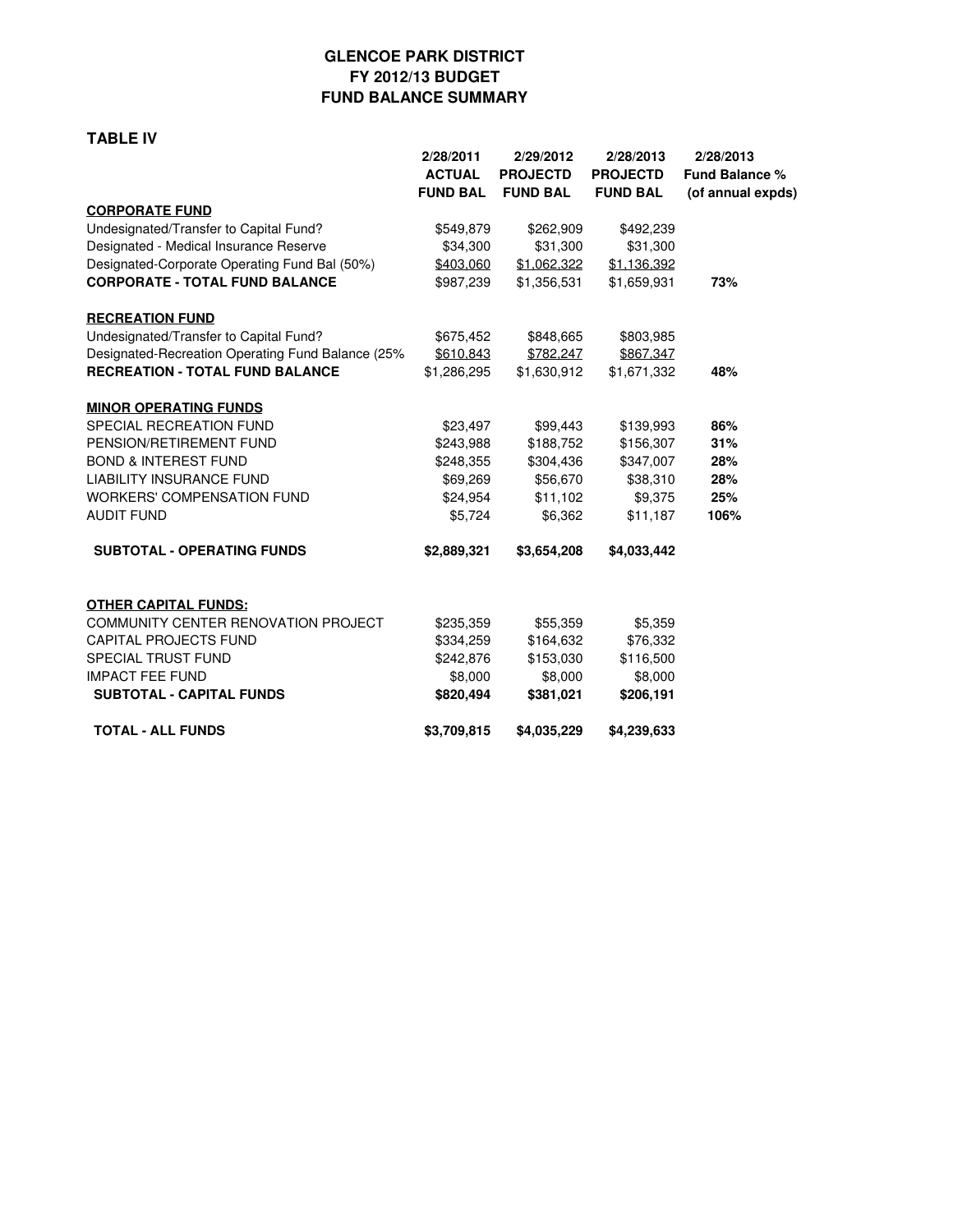## **GLENCOE PARK DISTRICT FY 2012/13 BUDGET FUND BALANCE SUMMARY**

#### **TABLE IV**

|                                                   | 2/28/2011       | 2/29/2012       | 2/28/2013       | 2/28/2013             |
|---------------------------------------------------|-----------------|-----------------|-----------------|-----------------------|
|                                                   | <b>ACTUAL</b>   | <b>PROJECTD</b> | <b>PROJECTD</b> | <b>Fund Balance %</b> |
|                                                   | <b>FUND BAL</b> | <b>FUND BAL</b> | <b>FUND BAL</b> | (of annual expds)     |
| <b>CORPORATE FUND</b>                             |                 |                 |                 |                       |
| Undesignated/Transfer to Capital Fund?            | \$549,879       | \$262,909       | \$492,239       |                       |
| Designated - Medical Insurance Reserve            | \$34,300        | \$31,300        | \$31,300        |                       |
| Designated-Corporate Operating Fund Bal (50%)     | \$403,060       | \$1,062,322     | \$1,136,392     |                       |
| <b>CORPORATE - TOTAL FUND BALANCE</b>             | \$987,239       | \$1,356,531     | \$1,659,931     | 73%                   |
| <b>RECREATION FUND</b>                            |                 |                 |                 |                       |
| Undesignated/Transfer to Capital Fund?            | \$675,452       | \$848,665       | \$803,985       |                       |
| Designated-Recreation Operating Fund Balance (25% | \$610.843       | \$782.247       | \$867.347       |                       |
| <b>RECREATION - TOTAL FUND BALANCE</b>            | \$1,286,295     | \$1,630,912     | \$1,671,332     | 48%                   |
| <b>MINOR OPERATING FUNDS</b>                      |                 |                 |                 |                       |
| SPECIAL RECREATION FUND                           | \$23,497        | \$99,443        | \$139,993       | 86%                   |
| PENSION/RETIREMENT FUND                           | \$243,988       | \$188,752       | \$156,307       | 31%                   |
| <b>BOND &amp; INTEREST FUND</b>                   | \$248,355       | \$304,436       | \$347,007       | 28%                   |
| <b>LIABILITY INSURANCE FUND</b>                   | \$69,269        | \$56,670        | \$38,310        | 28%                   |
| <b>WORKERS' COMPENSATION FUND</b>                 | \$24,954        | \$11,102        | \$9,375         | 25%                   |
| <b>AUDIT FUND</b>                                 | \$5,724         | \$6,362         | \$11,187        | 106%                  |
| <b>SUBTOTAL - OPERATING FUNDS</b>                 | \$2,889,321     | \$3,654,208     | \$4,033,442     |                       |
| <b>OTHER CAPITAL FUNDS:</b>                       |                 |                 |                 |                       |
| <b>COMMUNITY CENTER RENOVATION PROJECT</b>        | \$235,359       | \$55,359        | \$5,359         |                       |
| <b>CAPITAL PROJECTS FUND</b>                      | \$334,259       | \$164,632       | \$76,332        |                       |
| SPECIAL TRUST FUND                                | \$242,876       | \$153,030       | \$116,500       |                       |
| <b>IMPACT FEE FUND</b>                            | \$8,000         | \$8,000         | \$8,000         |                       |
| <b>SUBTOTAL - CAPITAL FUNDS</b>                   | \$820,494       | \$381,021       | \$206,191       |                       |
| <b>TOTAL - ALL FUNDS</b>                          | \$3,709,815     | \$4,035,229     | \$4,239,633     |                       |